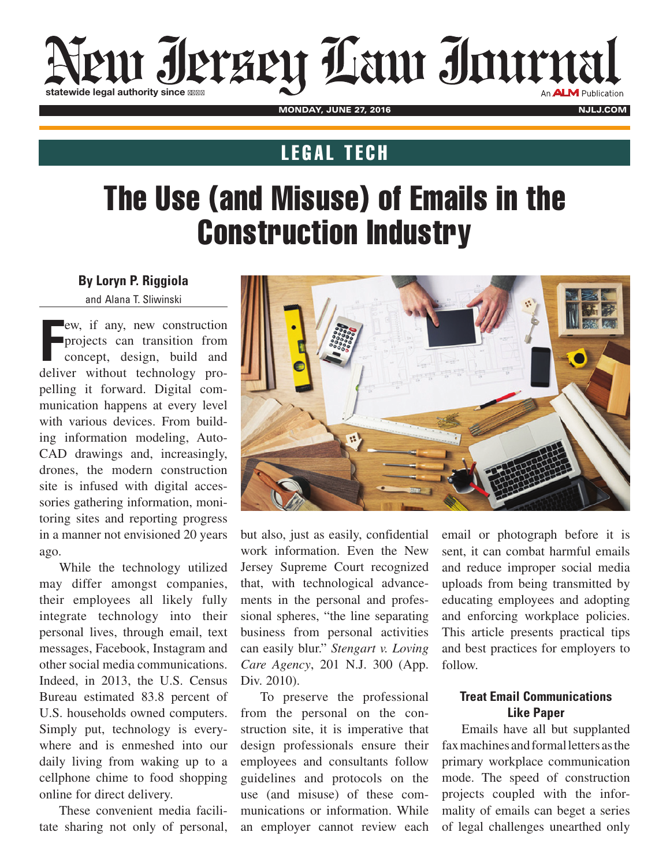# em Ierzen Law Immal statewide legal authority since 1111

monday, June 27, 2016 nJLJ.com nJLJ.com nJLJ.com

### **LEGAL TECH**

## The Use (and Misuse) of Emails in the Construction Industry

**By Loryn P. Riggiola**  and Alana T. Sliwinski

**F** deliver without technology proew, if any, new construction projects can transition from concept, design, build and pelling it forward. Digital communication happens at every level with various devices. From building information modeling, Auto-CAD drawings and, increasingly, drones, the modern construction site is infused with digital accessories gathering information, monitoring sites and reporting progress in a manner not envisioned 20 years ago.

While the technology utilized may differ amongst companies, their employees all likely fully integrate technology into their personal lives, through email, text messages, Facebook, Instagram and other social media communications. Indeed, in 2013, the U.S. Census Bureau estimated 83.8 percent of U.S. households owned computers. Simply put, technology is everywhere and is enmeshed into our daily living from waking up to a cellphone chime to food shopping online for direct delivery.

These convenient media facilitate sharing not only of personal,



but also, just as easily, confidential work information. Even the New Jersey Supreme Court recognized that, with technological advancements in the personal and professional spheres, "the line separating business from personal activities can easily blur." *Stengart v. Loving Care Agency*, 201 N.J. 300 (App. Div. 2010).

To preserve the professional from the personal on the construction site, it is imperative that design professionals ensure their employees and consultants follow guidelines and protocols on the use (and misuse) of these communications or information. While an employer cannot review each

email or photograph before it is sent, it can combat harmful emails and reduce improper social media uploads from being transmitted by educating employees and adopting and enforcing workplace policies. This article presents practical tips and best practices for employers to follow.

#### **Treat Email Communications Like Paper**

Emails have all but supplanted fax machines and formal letters as the primary workplace communication mode. The speed of construction projects coupled with the informality of emails can beget a series of legal challenges unearthed only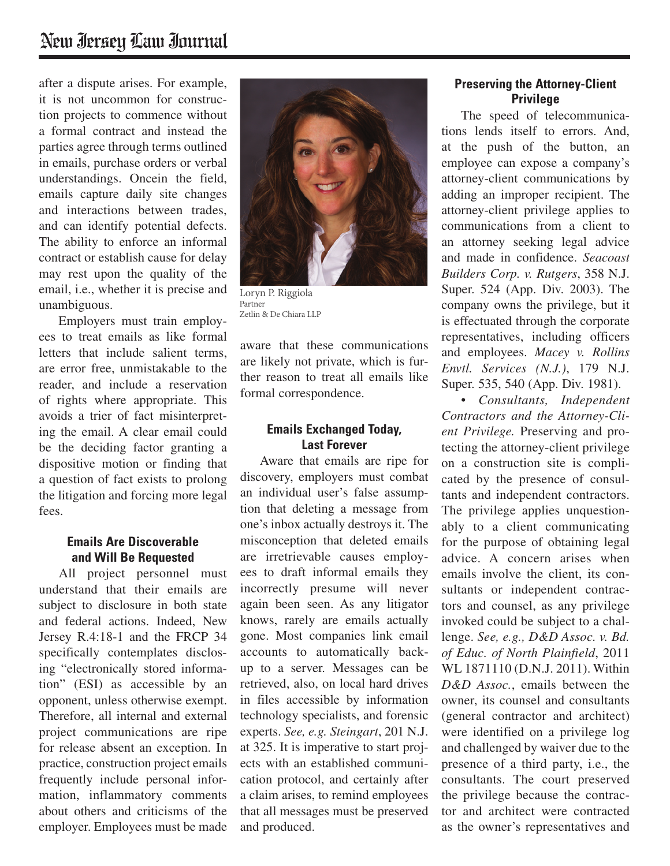after a dispute arises. For example, it is not uncommon for construction projects to commence without a formal contract and instead the parties agree through terms outlined in emails, purchase orders or verbal understandings. Oncein the field, emails capture daily site changes and interactions between trades, and can identify potential defects. The ability to enforce an informal contract or establish cause for delay may rest upon the quality of the email, i.e., whether it is precise and unambiguous.

Employers must train employees to treat emails as like formal letters that include salient terms, are error free, unmistakable to the reader, and include a reservation of rights where appropriate. This avoids a trier of fact misinterpreting the email. A clear email could be the deciding factor granting a dispositive motion or finding that a question of fact exists to prolong the litigation and forcing more legal fees.

#### **Emails Are Discoverable and Will Be Requested**

All project personnel must understand that their emails are subject to disclosure in both state and federal actions. Indeed, New Jersey R.4:18-1 and the FRCP 34 specifically contemplates disclosing "electronically stored information" (ESI) as accessible by an opponent, unless otherwise exempt. Therefore, all internal and external project communications are ripe for release absent an exception. In practice, construction project emails frequently include personal information, inflammatory comments about others and criticisms of the employer. Employees must be made



**LoRyn P. RiggioLA** Loryn P. Riggiola Partner Partner Zetllin & De Chiara Zetlin & De Chiara LLP

aware that these communications are likely not private, which is further reason to treat all emails like formal correspondence.

#### **Emails Exchanged Today, Last Forever**

Aware that emails are ripe for discovery, employers must combat an individual user's false assumption that deleting a message from one's inbox actually destroys it. The misconception that deleted emails are irretrievable causes employees to draft informal emails they incorrectly presume will never again been seen. As any litigator knows, rarely are emails actually gone. Most companies link email accounts to automatically backup to a server. Messages can be retrieved, also, on local hard drives in files accessible by information technology specialists, and forensic experts. *See, e.g. Steingart*, 201 N.J. at 325. It is imperative to start projects with an established communication protocol, and certainly after a claim arises, to remind employees that all messages must be preserved and produced.

#### **Preserving the Attorney-Client Privilege**

The speed of telecommunications lends itself to errors. And, at the push of the button, an employee can expose a company's attorney-client communications by adding an improper recipient. The attorney-client privilege applies to communications from a client to an attorney seeking legal advice and made in confidence. *Seacoast Builders Corp. v. Rutgers*, 358 N.J. Super. 524 (App. Div. 2003). The company owns the privilege, but it is effectuated through the corporate representatives, including officers and employees. *Macey v. Rollins Envtl. Services (N.J.)*, 179 N.J. Super. 535, 540 (App. Div. 1981).

*• Consultants, Independent Contractors and the Attorney-Client Privilege.* Preserving and protecting the attorney-client privilege on a construction site is complicated by the presence of consultants and independent contractors. The privilege applies unquestionably to a client communicating for the purpose of obtaining legal advice. A concern arises when emails involve the client, its consultants or independent contractors and counsel, as any privilege invoked could be subject to a challenge. *See, e.g., D&D Assoc. v. Bd. of Educ. of North Plainfield*, 2011 WL 1871110 (D.N.J. 2011). Within *D&D Assoc.*, emails between the owner, its counsel and consultants (general contractor and architect) were identified on a privilege log and challenged by waiver due to the presence of a third party, i.e., the consultants. The court preserved the privilege because the contractor and architect were contracted as the owner's representatives and